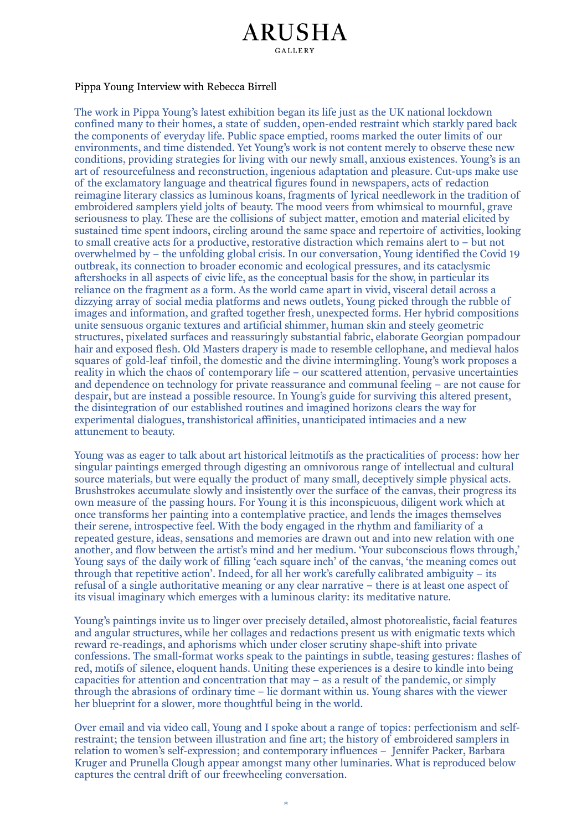# **ARUSHA GALLERY**

## Pippa Young Interview with Rebecca Birrell

The work in Pippa Young's latest exhibition began its life just as the UK national lockdown confined many to their homes, a state of sudden, open-ended restraint which starkly pared back the components of everyday life. Public space emptied, rooms marked the outer limits of our environments, and time distended. Yet Young's work is not content merely to observe these new conditions, providing strategies for living with our newly small, anxious existences. Young's is an art of resourcefulness and reconstruction, ingenious adaptation and pleasure. Cut-ups make use of the exclamatory language and theatrical figures found in newspapers, acts of redaction reimagine literary classics as luminous koans, fragments of lyrical needlework in the tradition of embroidered samplers yield jolts of beauty. The mood veers from whimsical to mournful, grave seriousness to play. These are the collisions of subject matter, emotion and material elicited by sustained time spent indoors, circling around the same space and repertoire of activities, looking to small creative acts for a productive, restorative distraction which remains alert to - but not overwhelmed by – the unfolding global crisis. In our conversation, Young identified the Covid 19 outbreak, its connection to broader economic and ecological pressures, and its cataclysmic aftershocks in all aspects of civic life, as the conceptual basis for the show, in particular its reliance on the fragment as a form. As the world came apart in vivid, visceral detail across a dizzying array of social media platforms and news outlets, Young picked through the rubble of images and information, and grafted together fresh, unexpected forms. Her hybrid compositions unite sensuous organic textures and artificial shimmer, human skin and steely geometric structures, pixelated surfaces and reassuringly substantial fabric, elaborate Georgian pompadour hair and exposed flesh. Old Masters drapery is made to resemble cellophane, and medieval halos squares of gold-leaf tinfoil, the domestic and the divine intermingling. Young's work proposes a reality in which the chaos of contemporary life – our scattered attention, pervasive uncertainties and dependence on technology for private reassurance and communal feeling – are not cause for despair, but are instead a possible resource. In Young's guide for surviving this altered present, the disintegration of our established routines and imagined horizons clears the way for experimental dialogues, transhistorical affinities, unanticipated intimacies and a new attunement to beauty.

Young was as eager to talk about art historical leitmotifs as the practicalities of process: how her singular paintings emerged through digesting an omnivorous range of intellectual and cultural source materials, but were equally the product of many small, deceptively simple physical acts. Brushstrokes accumulate slowly and insistently over the surface of the canvas, their progress its own measure of the passing hours. For Young it is this inconspicuous, diligent work which at once transforms her painting into a contemplative practice, and lends the images themselves their serene, introspective feel. With the body engaged in the rhythm and familiarity of a repeated gesture, ideas, sensations and memories are drawn out and into new relation with one another, and flow between the artist's mind and her medium. 'Your subconscious flows through,' Young says of the daily work of filling 'each square inch' of the canvas, 'the meaning comes out through that repetitive action'. Indeed, for all her work's carefully calibrated ambiguity – its refusal of a single authoritative meaning or any clear narrative – there is at least one aspect of its visual imaginary which emerges with a luminous clarity: its meditative nature.

Young's paintings invite us to linger over precisely detailed, almost photorealistic, facial features and angular structures, while her collages and redactions present us with enigmatic texts which reward re-readings, and aphorisms which under closer scrutiny shape-shift into private confessions. The small-format works speak to the paintings in subtle, teasing gestures: flashes of red, motifs of silence, eloquent hands. Uniting these experiences is a desire to kindle into being capacities for attention and concentration that  $may - as a result of the pandemic, or simply$ through the abrasions of ordinary time  $-$  lie dormant within us. Young shares with the viewer her blueprint for a slower, more thoughtful being in the world.

Over email and via video call, Young and I spoke about a range of topics: perfectionism and selfrestraint; the tension between illustration and fine art; the history of embroidered samplers in relation to women's self-expression; and contemporary influences - Jennifer Packer, Barbara Kruger and Prunella Clough appear amongst many other luminaries. What is reproduced below captures the central drift of our freewheeling conversation.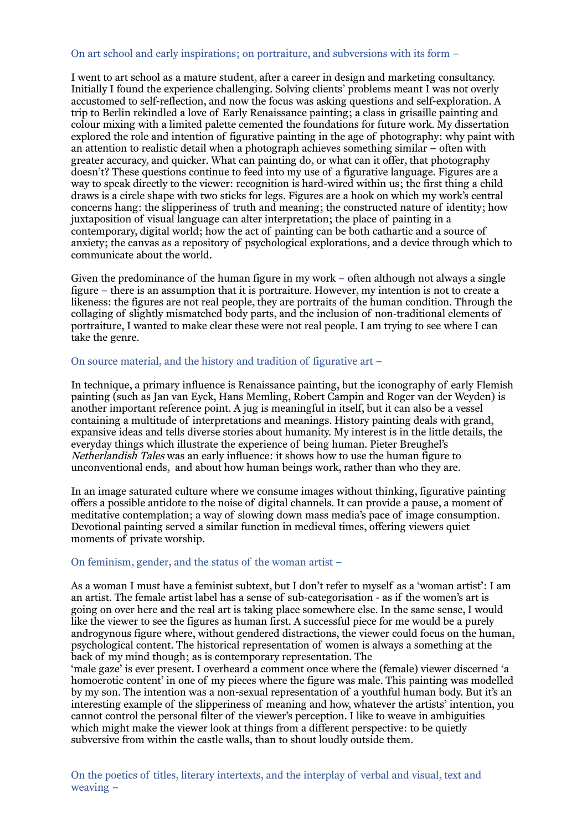### On art school and early inspirations; on portraiture, and subversions with its form –

I went to art school as a mature student, after a career in design and marketing consultancy. Initially I found the experience challenging. Solving clients' problems meant I was not overly accustomed to self-reflection, and now the focus was asking questions and self-exploration. A trip to Berlin rekindled a love of Early Renaissance painting; a class in grisaille painting and colour mixing with a limited palette cemented the foundations for future work. My dissertation explored the role and intention of figurative painting in the age of photography: why paint with an attention to realistic detail when a photograph achieves something similar – often with greater accuracy, and quicker. What can painting do, or what can it offer, that photography doesn't? These questions continue to feed into my use of a figurative language. Figures are a way to speak directly to the viewer: recognition is hard-wired within us; the first thing a child draws is a circle shape with two sticks for legs. Figures are a hook on which my work's central concerns hang: the slipperiness of truth and meaning; the constructed nature of identity; how juxtaposition of visual language can alter interpretation; the place of painting in a contemporary, digital world; how the act of painting can be both cathartic and a source of anxiety; the canvas as a repository of psychological explorations, and a device through which to communicate about the world.

Given the predominance of the human figure in my work  $-$  often although not always a single figure – there is an assumption that it is portraiture. However, my intention is not to create a likeness: the figures are not real people, they are portraits of the human condition. Through the collaging of slightly mismatched body parts, and the inclusion of non-traditional elements of portraiture, I wanted to make clear these were not real people. I am trying to see where I can take the genre.

#### On source material, and the history and tradition of figurative art –

In technique, a primary influence is Renaissance painting, but the iconography of early Flemish painting (such as Jan van Eyck, Hans Memling, Robert Campin and Roger van der Weyden) is another important reference point. A jug is meaningful in itself, but it can also be a vessel containing a multitude of interpretations and meanings. History painting deals with grand, expansive ideas and tells diverse stories about humanity. My interest is in the little details, the everyday things which illustrate the experience of being human. Pieter Breughel's *Netherlandish Tales* was an early influence: it shows how to use the human figure to unconventional ends, and about how human beings work, rather than who they are.

In an image saturated culture where we consume images without thinking, figurative painting offers a possible antidote to the noise of digital channels. It can provide a pause, a moment of meditative contemplation; a way of slowing down mass media's pace of image consumption. Devotional painting served a similar function in medieval times, offering viewers quiet moments of private worship.

#### On feminism, gender, and the status of the woman artist –

As a woman I must have a feminist subtext, but I don't refer to myself as a 'woman artist': I am an artist. The female artist label has a sense of sub-categorisation - as if the women's art is going on over here and the real art is taking place somewhere else. In the same sense, I would like the viewer to see the figures as human first. A successful piece for me would be a purely androgynous figure where, without gendered distractions, the viewer could focus on the human, psychological content. The historical representation of women is always a something at the back of my mind though; as is contemporary representation. The

'male gaze' is ever present. I overheard a comment once where the (female) viewer discerned 'a homoerotic content<sup>3</sup> in one of my pieces where the figure was male. This painting was modelled by my son. The intention was a non-sexual representation of a youthful human body. But it's an interesting example of the slipperiness of meaning and how, whatever the artists' intention, you cannot control the personal filter of the viewer's perception. I like to weave in ambiguities which might make the viewer look at things from a different perspective: to be quietly subversive from within the castle walls, than to shout loudly outside them.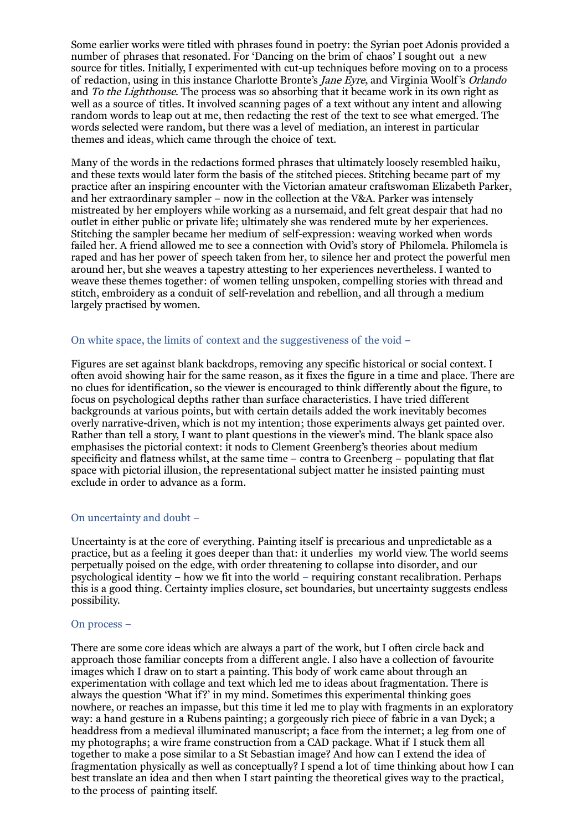Some earlier works were titled with phrases found in poetry: the Syrian poet Adonis provided a number of phrases that resonated. For 'Dancing on the brim of chaos' I sought out a new source for titles. Initially, I experimented with cut-up techniques before moving on to a process of redaction, using in this instance Charlotte Bronte's Jane Eyre, and Virginia Woolf 's Orlando and To the Lighthouse. The process was so absorbing that it became work in its own right as well as a source of titles. It involved scanning pages of a text without any intent and allowing random words to leap out at me, then redacting the rest of the text to see what emerged. The words selected were random, but there was a level of mediation, an interest in particular themes and ideas, which came through the choice of text.

Many of the words in the redactions formed phrases that ultimately loosely resembled haiku, and these texts would later form the basis of the stitched pieces. Stitching became part of my practice after an inspiring encounter with the Victorian amateur craftswoman Elizabeth Parker, and her extraordinary sampler – now in the collection at the V&A. Parker was intensely mistreated by her employers while working as a nursemaid, and felt great despair that had no outlet in either public or private life; ultimately she was rendered mute by her experiences. Stitching the sampler became her medium of self-expression: weaving worked when words failed her. A friend allowed me to see a connection with Ovid's story of Philomela. Philomela is raped and has her power of speech taken from her, to silence her and protect the powerful men around her, but she weaves a tapestry attesting to her experiences nevertheless. I wanted to weave these themes together: of women telling unspoken, compelling stories with thread and stitch, embroidery as a conduit of self-revelation and rebellion, and all through a medium largely practised by women.

#### On white space, the limits of context and the suggestiveness of the void –

Figures are set against blank backdrops, removing any specific historical or social context. I often avoid showing hair for the same reason, as it fixes the figure in a time and place. There are no clues for identification, so the viewer is encouraged to think differently about the figure, to focus on psychological depths rather than surface characteristics. I have tried different backgrounds at various points, but with certain details added the work inevitably becomes overly narrative-driven, which is not my intention; those experiments always get painted over. Rather than tell a story, I want to plant questions in the viewer's mind. The blank space also emphasises the pictorial context: it nods to Clement Greenberg's theories about medium specificity and flatness whilst, at the same time – contra to Greenberg – populating that flat space with pictorial illusion, the representational subject matter he insisted painting must exclude in order to advance as a form.

#### On uncertainty and doubt –

Uncertainty is at the core of everything. Painting itself is precarious and unpredictable as a practice, but as a feeling it goes deeper than that: it underlies my world view. The world seems perpetually poised on the edge, with order threatening to collapse into disorder, and our psychological identity – how we fit into the world – requiring constant recalibration. Perhaps this is a good thing. Certainty implies closure, set boundaries, but uncertainty suggests endless possibility.

#### On process –

There are some core ideas which are always a part of the work, but I often circle back and approach those familiar concepts from a different angle. I also have a collection of favourite images which I draw on to start a painting. This body of work came about through an experimentation with collage and text which led me to ideas about fragmentation. There is always the question 'What if?' in my mind. Sometimes this experimental thinking goes nowhere, or reaches an impasse, but this time it led me to play with fragments in an exploratory way: a hand gesture in a Rubens painting; a gorgeously rich piece of fabric in a van Dyck; a headdress from a medieval illuminated manuscript; a face from the internet; a leg from one of my photographs; a wire frame construction from a CAD package. What if I stuck them all together to make a pose similar to a St Sebastian image? And how can I extend the idea of fragmentation physically as well as conceptually? I spend a lot of time thinking about how I can best translate an idea and then when I start painting the theoretical gives way to the practical, to the process of painting itself.